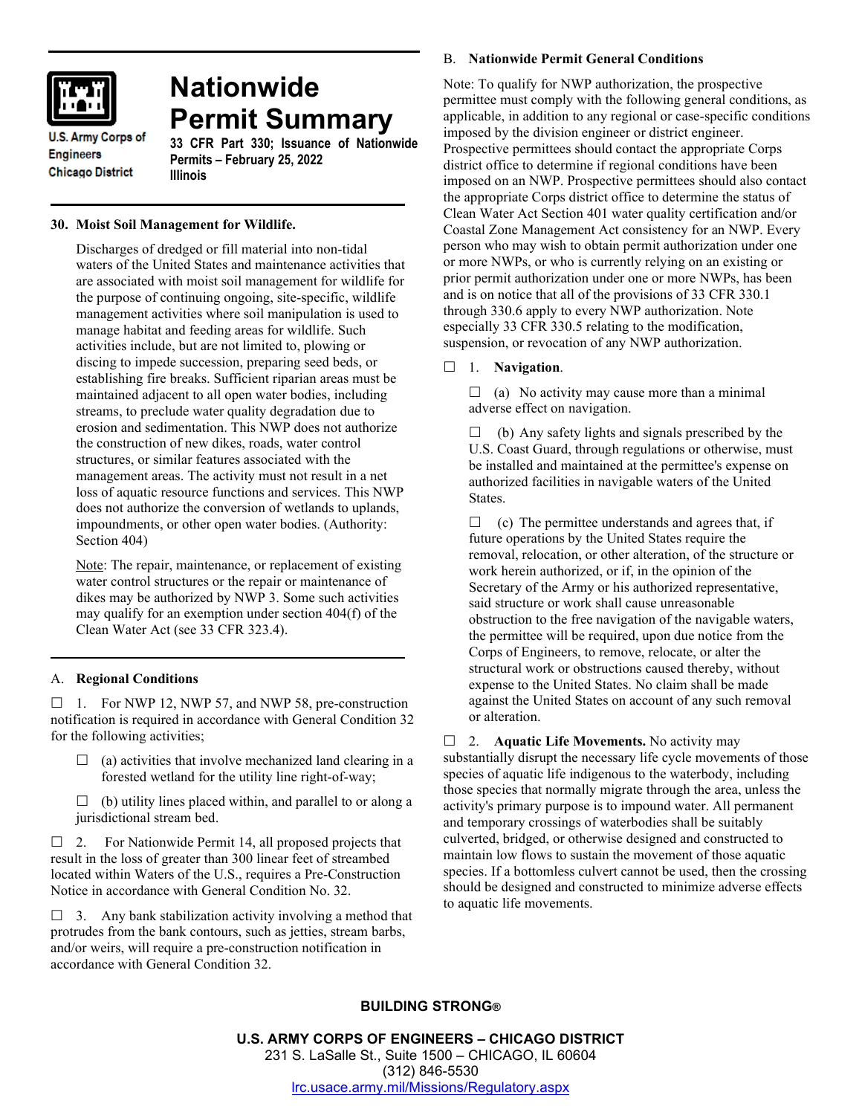

# **Nationwide Permit Summary**

**U.S. Army Corps of Engineers Chicago District** 

#### **33 CFR Part 330; Issuance of Nationwide Permits – February 25, 2022 Illinois**

# **30. Moist Soil Management for Wildlife.**

Discharges of dredged or fill material into non-tidal waters of the United States and maintenance activities that are associated with moist soil management for wildlife for the purpose of continuing ongoing, site-specific, wildlife management activities where soil manipulation is used to manage habitat and feeding areas for wildlife. Such activities include, but are not limited to, plowing or discing to impede succession, preparing seed beds, or establishing fire breaks. Sufficient riparian areas must be maintained adjacent to all open water bodies, including streams, to preclude water quality degradation due to erosion and sedimentation. This NWP does not authorize the construction of new dikes, roads, water control structures, or similar features associated with the management areas. The activity must not result in a net loss of aquatic resource functions and services. This NWP does not authorize the conversion of wetlands to uplands, impoundments, or other open water bodies. (Authority: Section 404)

Note: The repair, maintenance, or replacement of existing water control structures or the repair or maintenance of dikes may be authorized by NWP 3. Some such activities may qualify for an exemption under section 404(f) of the Clean Water Act (see 33 CFR 323.4).

# A. **Regional Conditions**

 $\Box$  1. For NWP 12, NWP 57, and NWP 58, pre-construction notification is required in accordance with General Condition 32 for the following activities;

- $\Box$  (a) activities that involve mechanized land clearing in a forested wetland for the utility line right-of-way;
- $\Box$  (b) utility lines placed within, and parallel to or along a jurisdictional stream bed.

 $\Box$  2. For Nationwide Permit 14, all proposed projects that result in the loss of greater than 300 linear feet of streambed located within Waters of the U.S., requires a Pre-Construction Notice in accordance with General Condition No. 32.

 $\Box$  3. Any bank stabilization activity involving a method that protrudes from the bank contours, such as jetties, stream barbs, and/or weirs, will require a pre-construction notification in accordance with General Condition 32.

## B. **Nationwide Permit General Conditions**

Note: To qualify for NWP authorization, the prospective permittee must comply with the following general conditions, as applicable, in addition to any regional or case-specific conditions imposed by the division engineer or district engineer. Prospective permittees should contact the appropriate Corps district office to determine if regional conditions have been imposed on an NWP. Prospective permittees should also contact the appropriate Corps district office to determine the status of Clean Water Act Section 401 water quality certification and/or Coastal Zone Management Act consistency for an NWP. Every person who may wish to obtain permit authorization under one or more NWPs, or who is currently relying on an existing or prior permit authorization under one or more NWPs, has been and is on notice that all of the provisions of 33 CFR 330.1 through 330.6 apply to every NWP authorization. Note especially 33 CFR 330.5 relating to the modification, suspension, or revocation of any NWP authorization.

# 1. **Navigation**.

 $\Box$  (a) No activity may cause more than a minimal adverse effect on navigation.

 $\Box$  (b) Any safety lights and signals prescribed by the U.S. Coast Guard, through regulations or otherwise, must be installed and maintained at the permittee's expense on authorized facilities in navigable waters of the United States.

 $\Box$  (c) The permittee understands and agrees that, if future operations by the United States require the removal, relocation, or other alteration, of the structure or work herein authorized, or if, in the opinion of the Secretary of the Army or his authorized representative, said structure or work shall cause unreasonable obstruction to the free navigation of the navigable waters, the permittee will be required, upon due notice from the Corps of Engineers, to remove, relocate, or alter the structural work or obstructions caused thereby, without expense to the United States. No claim shall be made against the United States on account of any such removal or alteration.

□ 2. **Aquatic Life Movements.** No activity may substantially disrupt the necessary life cycle movements of those species of aquatic life indigenous to the waterbody, including those species that normally migrate through the area, unless the activity's primary purpose is to impound water. All permanent and temporary crossings of waterbodies shall be suitably culverted, bridged, or otherwise designed and constructed to maintain low flows to sustain the movement of those aquatic species. If a bottomless culvert cannot be used, then the crossing should be designed and constructed to minimize adverse effects to aquatic life movements.

# **BUILDING STRONG®**

**U.S. ARMY CORPS OF ENGINEERS – CHICAGO DISTRICT** 231 S. LaSalle St., Suite 1500 – CHICAGO, IL 60604 (312) 846-5530 [lrc.usace.army.mil/Missions/Regulatory.aspx](https://www.lrc.usace.army.mil/Missions/Regulatory.aspx)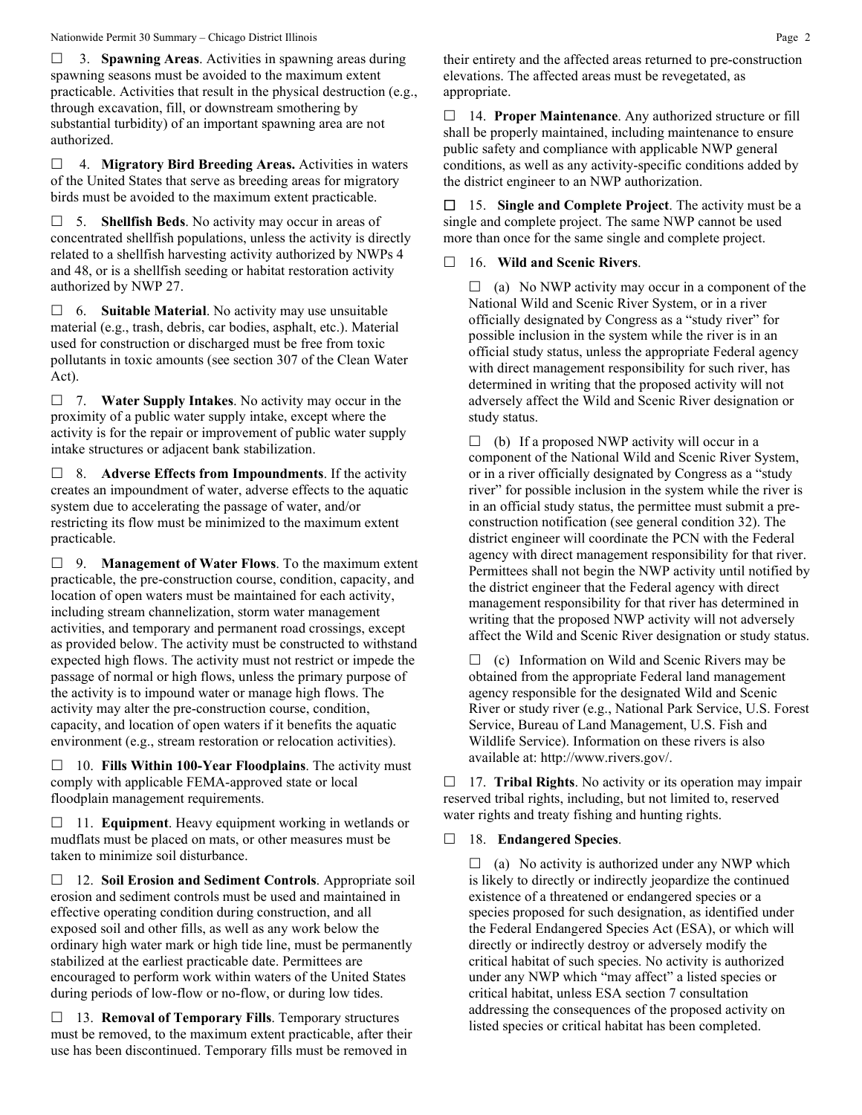#### Nationwide Permit 30 Summary – Chicago District Illinois **Page 2 Page 2**

 3. **Spawning Areas**. Activities in spawning areas during spawning seasons must be avoided to the maximum extent practicable. Activities that result in the physical destruction (e.g., through excavation, fill, or downstream smothering by substantial turbidity) of an important spawning area are not authorized.

 4. **Migratory Bird Breeding Areas.** Activities in waters of the United States that serve as breeding areas for migratory birds must be avoided to the maximum extent practicable.

 5. **Shellfish Beds**. No activity may occur in areas of concentrated shellfish populations, unless the activity is directly related to a shellfish harvesting activity authorized by NWPs 4 and 48, or is a shellfish seeding or habitat restoration activity authorized by NWP 27.

 6. **Suitable Material**. No activity may use unsuitable material (e.g., trash, debris, car bodies, asphalt, etc.). Material used for construction or discharged must be free from toxic pollutants in toxic amounts (see section 307 of the Clean Water Act).

 7. **Water Supply Intakes**. No activity may occur in the proximity of a public water supply intake, except where the activity is for the repair or improvement of public water supply intake structures or adjacent bank stabilization.

 8. **Adverse Effects from Impoundments**. If the activity creates an impoundment of water, adverse effects to the aquatic system due to accelerating the passage of water, and/or restricting its flow must be minimized to the maximum extent practicable.

 9. **Management of Water Flows**. To the maximum extent practicable, the pre-construction course, condition, capacity, and location of open waters must be maintained for each activity, including stream channelization, storm water management activities, and temporary and permanent road crossings, except as provided below. The activity must be constructed to withstand expected high flows. The activity must not restrict or impede the passage of normal or high flows, unless the primary purpose of the activity is to impound water or manage high flows. The activity may alter the pre-construction course, condition, capacity, and location of open waters if it benefits the aquatic environment (e.g., stream restoration or relocation activities).

 10. **Fills Within 100-Year Floodplains**. The activity must comply with applicable FEMA-approved state or local floodplain management requirements.

□ 11. **Equipment**. Heavy equipment working in wetlands or mudflats must be placed on mats, or other measures must be taken to minimize soil disturbance.

 12. **Soil Erosion and Sediment Controls**. Appropriate soil erosion and sediment controls must be used and maintained in effective operating condition during construction, and all exposed soil and other fills, as well as any work below the ordinary high water mark or high tide line, must be permanently stabilized at the earliest practicable date. Permittees are encouraged to perform work within waters of the United States during periods of low-flow or no-flow, or during low tides.

 13. **Removal of Temporary Fills**. Temporary structures must be removed, to the maximum extent practicable, after their use has been discontinued. Temporary fills must be removed in

their entirety and the affected areas returned to pre-construction elevations. The affected areas must be revegetated, as appropriate.

 14. **Proper Maintenance**. Any authorized structure or fill shall be properly maintained, including maintenance to ensure public safety and compliance with applicable NWP general conditions, as well as any activity-specific conditions added by the district engineer to an NWP authorization.

 15. **Single and Complete Project**. The activity must be a single and complete project. The same NWP cannot be used more than once for the same single and complete project.

# 16. **Wild and Scenic Rivers**.

 $\Box$  (a) No NWP activity may occur in a component of the National Wild and Scenic River System, or in a river officially designated by Congress as a "study river" for possible inclusion in the system while the river is in an official study status, unless the appropriate Federal agency with direct management responsibility for such river, has determined in writing that the proposed activity will not adversely affect the Wild and Scenic River designation or study status.

 $\Box$  (b) If a proposed NWP activity will occur in a component of the National Wild and Scenic River System, or in a river officially designated by Congress as a "study river" for possible inclusion in the system while the river is in an official study status, the permittee must submit a preconstruction notification (see general condition 32). The district engineer will coordinate the PCN with the Federal agency with direct management responsibility for that river. Permittees shall not begin the NWP activity until notified by the district engineer that the Federal agency with direct management responsibility for that river has determined in writing that the proposed NWP activity will not adversely affect the Wild and Scenic River designation or study status.

 $\Box$  (c) Information on Wild and Scenic Rivers may be obtained from the appropriate Federal land management agency responsible for the designated Wild and Scenic River or study river (e.g., National Park Service, U.S. Forest Service, Bureau of Land Management, U.S. Fish and Wildlife Service). Information on these rivers is also available at: http://www.rivers.gov/.

 17. **Tribal Rights**. No activity or its operation may impair reserved tribal rights, including, but not limited to, reserved water rights and treaty fishing and hunting rights.

#### 18. **Endangered Species**.

 $\Box$  (a) No activity is authorized under any NWP which is likely to directly or indirectly jeopardize the continued existence of a threatened or endangered species or a species proposed for such designation, as identified under the Federal Endangered Species Act (ESA), or which will directly or indirectly destroy or adversely modify the critical habitat of such species. No activity is authorized under any NWP which "may affect" a listed species or critical habitat, unless ESA section 7 consultation addressing the consequences of the proposed activity on listed species or critical habitat has been completed.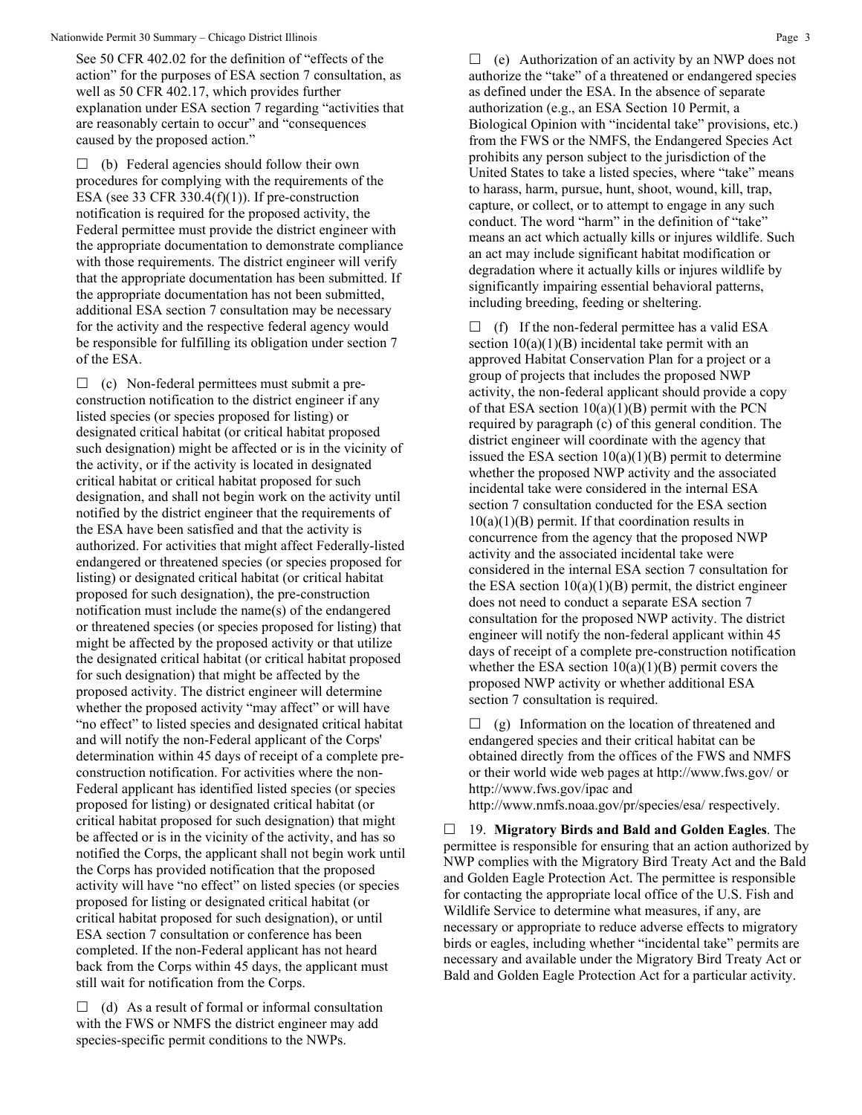See 50 CFR 402.02 for the definition of "effects of the action" for the purposes of ESA section 7 consultation, as well as 50 CFR 402.17, which provides further explanation under ESA section 7 regarding "activities that are reasonably certain to occur" and "consequences caused by the proposed action."

 $\Box$  (b) Federal agencies should follow their own procedures for complying with the requirements of the ESA (see 33 CFR 330.4 $(f)(1)$ ). If pre-construction notification is required for the proposed activity, the Federal permittee must provide the district engineer with the appropriate documentation to demonstrate compliance with those requirements. The district engineer will verify that the appropriate documentation has been submitted. If the appropriate documentation has not been submitted, additional ESA section 7 consultation may be necessary for the activity and the respective federal agency would be responsible for fulfilling its obligation under section 7 of the ESA.

 $\Box$  (c) Non-federal permittees must submit a preconstruction notification to the district engineer if any listed species (or species proposed for listing) or designated critical habitat (or critical habitat proposed such designation) might be affected or is in the vicinity of the activity, or if the activity is located in designated critical habitat or critical habitat proposed for such designation, and shall not begin work on the activity until notified by the district engineer that the requirements of the ESA have been satisfied and that the activity is authorized. For activities that might affect Federally-listed endangered or threatened species (or species proposed for listing) or designated critical habitat (or critical habitat proposed for such designation), the pre-construction notification must include the name(s) of the endangered or threatened species (or species proposed for listing) that might be affected by the proposed activity or that utilize the designated critical habitat (or critical habitat proposed for such designation) that might be affected by the proposed activity. The district engineer will determine whether the proposed activity "may affect" or will have "no effect" to listed species and designated critical habitat and will notify the non-Federal applicant of the Corps' determination within 45 days of receipt of a complete preconstruction notification. For activities where the non-Federal applicant has identified listed species (or species proposed for listing) or designated critical habitat (or critical habitat proposed for such designation) that might be affected or is in the vicinity of the activity, and has so notified the Corps, the applicant shall not begin work until the Corps has provided notification that the proposed activity will have "no effect" on listed species (or species proposed for listing or designated critical habitat (or critical habitat proposed for such designation), or until ESA section 7 consultation or conference has been completed. If the non-Federal applicant has not heard back from the Corps within 45 days, the applicant must still wait for notification from the Corps.

 $\Box$  (d) As a result of formal or informal consultation with the FWS or NMFS the district engineer may add species-specific permit conditions to the NWPs.

 $\Box$  (e) Authorization of an activity by an NWP does not authorize the "take" of a threatened or endangered species as defined under the ESA. In the absence of separate authorization (e.g., an ESA Section 10 Permit, a Biological Opinion with "incidental take" provisions, etc.) from the FWS or the NMFS, the Endangered Species Act prohibits any person subject to the jurisdiction of the United States to take a listed species, where "take" means to harass, harm, pursue, hunt, shoot, wound, kill, trap, capture, or collect, or to attempt to engage in any such conduct. The word "harm" in the definition of "take" means an act which actually kills or injures wildlife. Such an act may include significant habitat modification or degradation where it actually kills or injures wildlife by significantly impairing essential behavioral patterns, including breeding, feeding or sheltering.

 $\Box$  (f) If the non-federal permittee has a valid ESA section  $10(a)(1)(B)$  incidental take permit with an approved Habitat Conservation Plan for a project or a group of projects that includes the proposed NWP activity, the non-federal applicant should provide a copy of that ESA section  $10(a)(1)(B)$  permit with the PCN required by paragraph (c) of this general condition. The district engineer will coordinate with the agency that issued the ESA section  $10(a)(1)(B)$  permit to determine whether the proposed NWP activity and the associated incidental take were considered in the internal ESA section 7 consultation conducted for the ESA section  $10(a)(1)(B)$  permit. If that coordination results in concurrence from the agency that the proposed NWP activity and the associated incidental take were considered in the internal ESA section 7 consultation for the ESA section  $10(a)(1)(B)$  permit, the district engineer does not need to conduct a separate ESA section 7 consultation for the proposed NWP activity. The district engineer will notify the non-federal applicant within 45 days of receipt of a complete pre-construction notification whether the ESA section  $10(a)(1)(B)$  permit covers the proposed NWP activity or whether additional ESA section 7 consultation is required.

 $\Box$  (g) Information on the location of threatened and endangered species and their critical habitat can be obtained directly from the offices of the FWS and NMFS or their world wide web pages at http://www.fws.gov/ or http://www.fws.gov/ipac and

http://www.nmfs.noaa.gov/pr/species/esa/ respectively.

 19. **Migratory Birds and Bald and Golden Eagles**. The permittee is responsible for ensuring that an action authorized by NWP complies with the Migratory Bird Treaty Act and the Bald and Golden Eagle Protection Act. The permittee is responsible for contacting the appropriate local office of the U.S. Fish and Wildlife Service to determine what measures, if any, are necessary or appropriate to reduce adverse effects to migratory birds or eagles, including whether "incidental take" permits are necessary and available under the Migratory Bird Treaty Act or Bald and Golden Eagle Protection Act for a particular activity.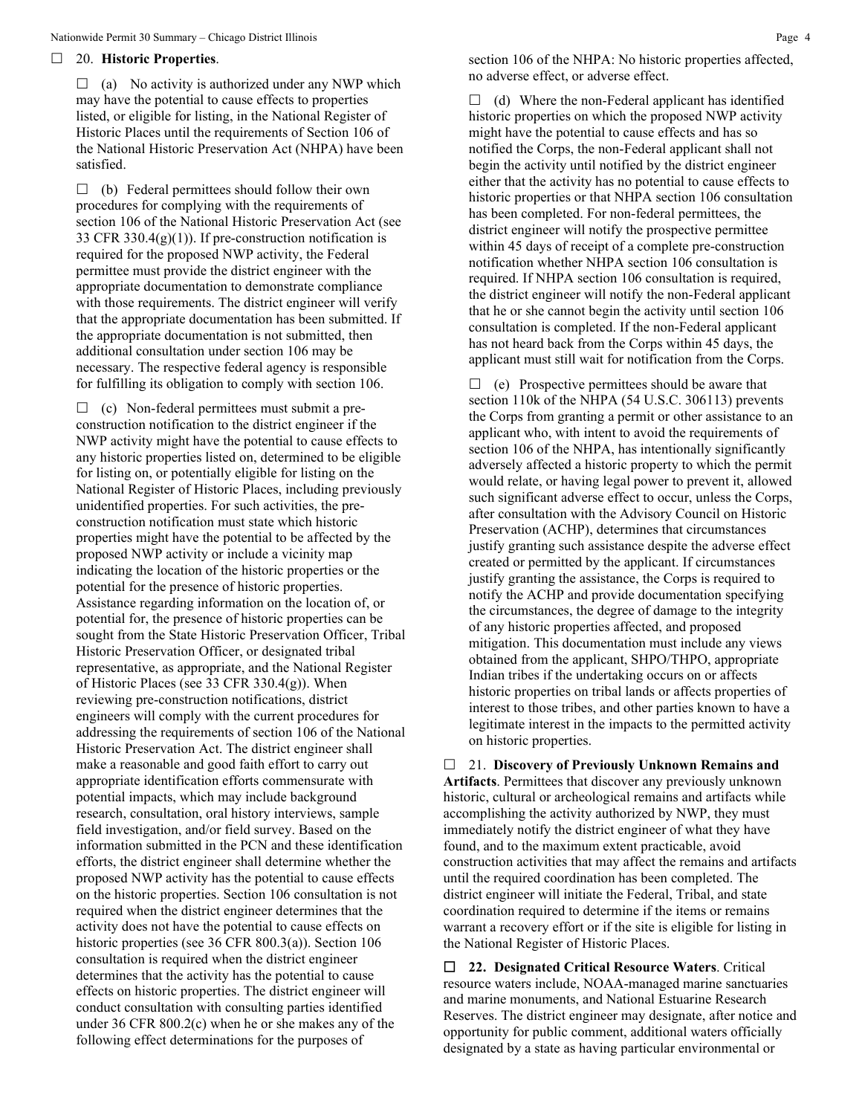#### 20. **Historic Properties**.

 $\Box$  (a) No activity is authorized under any NWP which may have the potential to cause effects to properties listed, or eligible for listing, in the National Register of Historic Places until the requirements of Section 106 of the National Historic Preservation Act (NHPA) have been satisfied.

 $\Box$  (b) Federal permittees should follow their own procedures for complying with the requirements of section 106 of the National Historic Preservation Act (see 33 CFR 330.4(g)(1)). If pre-construction notification is required for the proposed NWP activity, the Federal permittee must provide the district engineer with the appropriate documentation to demonstrate compliance with those requirements. The district engineer will verify that the appropriate documentation has been submitted. If the appropriate documentation is not submitted, then additional consultation under section 106 may be necessary. The respective federal agency is responsible for fulfilling its obligation to comply with section 106.

 $\Box$  (c) Non-federal permittees must submit a preconstruction notification to the district engineer if the NWP activity might have the potential to cause effects to any historic properties listed on, determined to be eligible for listing on, or potentially eligible for listing on the National Register of Historic Places, including previously unidentified properties. For such activities, the preconstruction notification must state which historic properties might have the potential to be affected by the proposed NWP activity or include a vicinity map indicating the location of the historic properties or the potential for the presence of historic properties. Assistance regarding information on the location of, or potential for, the presence of historic properties can be sought from the State Historic Preservation Officer, Tribal Historic Preservation Officer, or designated tribal representative, as appropriate, and the National Register of Historic Places (see 33 CFR 330.4(g)). When reviewing pre-construction notifications, district engineers will comply with the current procedures for addressing the requirements of section 106 of the National Historic Preservation Act. The district engineer shall make a reasonable and good faith effort to carry out appropriate identification efforts commensurate with potential impacts, which may include background research, consultation, oral history interviews, sample field investigation, and/or field survey. Based on the information submitted in the PCN and these identification efforts, the district engineer shall determine whether the proposed NWP activity has the potential to cause effects on the historic properties. Section 106 consultation is not required when the district engineer determines that the activity does not have the potential to cause effects on historic properties (see 36 CFR 800.3(a)). Section 106 consultation is required when the district engineer determines that the activity has the potential to cause effects on historic properties. The district engineer will conduct consultation with consulting parties identified under 36 CFR 800.2(c) when he or she makes any of the following effect determinations for the purposes of

section 106 of the NHPA: No historic properties affected, no adverse effect, or adverse effect.

 $\Box$  (d) Where the non-Federal applicant has identified historic properties on which the proposed NWP activity might have the potential to cause effects and has so notified the Corps, the non-Federal applicant shall not begin the activity until notified by the district engineer either that the activity has no potential to cause effects to historic properties or that NHPA section 106 consultation has been completed. For non-federal permittees, the district engineer will notify the prospective permittee within 45 days of receipt of a complete pre-construction notification whether NHPA section 106 consultation is required. If NHPA section 106 consultation is required, the district engineer will notify the non-Federal applicant that he or she cannot begin the activity until section 106 consultation is completed. If the non-Federal applicant has not heard back from the Corps within 45 days, the applicant must still wait for notification from the Corps.

 $\Box$  (e) Prospective permittees should be aware that section 110k of the NHPA (54 U.S.C. 306113) prevents the Corps from granting a permit or other assistance to an applicant who, with intent to avoid the requirements of section 106 of the NHPA, has intentionally significantly adversely affected a historic property to which the permit would relate, or having legal power to prevent it, allowed such significant adverse effect to occur, unless the Corps, after consultation with the Advisory Council on Historic Preservation (ACHP), determines that circumstances justify granting such assistance despite the adverse effect created or permitted by the applicant. If circumstances justify granting the assistance, the Corps is required to notify the ACHP and provide documentation specifying the circumstances, the degree of damage to the integrity of any historic properties affected, and proposed mitigation. This documentation must include any views obtained from the applicant, SHPO/THPO, appropriate Indian tribes if the undertaking occurs on or affects historic properties on tribal lands or affects properties of interest to those tribes, and other parties known to have a legitimate interest in the impacts to the permitted activity on historic properties.

 21. **Discovery of Previously Unknown Remains and Artifacts**. Permittees that discover any previously unknown historic, cultural or archeological remains and artifacts while accomplishing the activity authorized by NWP, they must immediately notify the district engineer of what they have found, and to the maximum extent practicable, avoid construction activities that may affect the remains and artifacts until the required coordination has been completed. The district engineer will initiate the Federal, Tribal, and state coordination required to determine if the items or remains warrant a recovery effort or if the site is eligible for listing in the National Register of Historic Places.

 **22. Designated Critical Resource Waters**. Critical resource waters include, NOAA-managed marine sanctuaries and marine monuments, and National Estuarine Research Reserves. The district engineer may designate, after notice and opportunity for public comment, additional waters officially designated by a state as having particular environmental or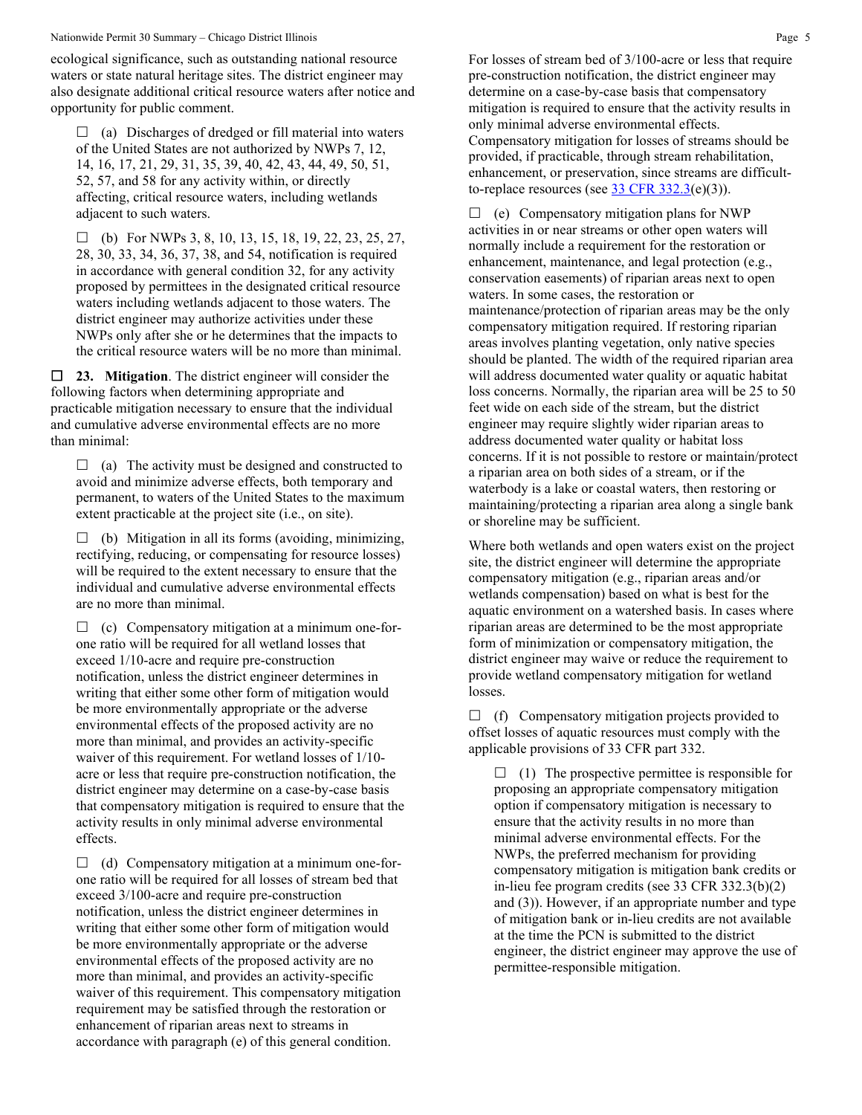#### Nationwide Permit 30 Summary – Chicago District Illinois **Page 5 Page 5**

ecological significance, such as outstanding national resource waters or state natural heritage sites. The district engineer may also designate additional critical resource waters after notice and opportunity for public comment.

 $\Box$  (a) Discharges of dredged or fill material into waters of the United States are not authorized by NWPs 7, 12, 14, 16, 17, 21, 29, 31, 35, 39, 40, 42, 43, 44, 49, 50, 51, 52, 57, and 58 for any activity within, or directly affecting, critical resource waters, including wetlands adjacent to such waters.

 $\Box$  (b) For NWPs 3, 8, 10, 13, 15, 18, 19, 22, 23, 25, 27, 28, 30, 33, 34, 36, 37, 38, and 54, notification is required in accordance with general condition 32, for any activity proposed by permittees in the designated critical resource waters including wetlands adjacent to those waters. The district engineer may authorize activities under these NWPs only after she or he determines that the impacts to the critical resource waters will be no more than minimal.

 **23. Mitigation**. The district engineer will consider the following factors when determining appropriate and practicable mitigation necessary to ensure that the individual and cumulative adverse environmental effects are no more than minimal:

 $\Box$  (a) The activity must be designed and constructed to avoid and minimize adverse effects, both temporary and permanent, to waters of the United States to the maximum extent practicable at the project site (i.e., on site).

 $\Box$  (b) Mitigation in all its forms (avoiding, minimizing, rectifying, reducing, or compensating for resource losses) will be required to the extent necessary to ensure that the individual and cumulative adverse environmental effects are no more than minimal.

 $\Box$  (c) Compensatory mitigation at a minimum one-forone ratio will be required for all wetland losses that exceed 1/10-acre and require pre-construction notification, unless the district engineer determines in writing that either some other form of mitigation would be more environmentally appropriate or the adverse environmental effects of the proposed activity are no more than minimal, and provides an activity-specific waiver of this requirement. For wetland losses of 1/10 acre or less that require pre-construction notification, the district engineer may determine on a case-by-case basis that compensatory mitigation is required to ensure that the activity results in only minimal adverse environmental effects.

 $\Box$  (d) Compensatory mitigation at a minimum one-forone ratio will be required for all losses of stream bed that exceed 3/100-acre and require pre-construction notification, unless the district engineer determines in writing that either some other form of mitigation would be more environmentally appropriate or the adverse environmental effects of the proposed activity are no more than minimal, and provides an activity-specific waiver of this requirement. This compensatory mitigation requirement may be satisfied through the restoration or enhancement of riparian areas next to streams in accordance with paragraph (e) of this general condition.

For losses of stream bed of 3/100-acre or less that require pre-construction notification, the district engineer may determine on a case-by-case basis that compensatory mitigation is required to ensure that the activity results in only minimal adverse environmental effects. Compensatory mitigation for losses of streams should be provided, if practicable, through stream rehabilitation, enhancement, or preservation, since streams are difficultto-replace resources (see  $33$  CFR  $332.3(e)(3)$ ).

 $\Box$  (e) Compensatory mitigation plans for NWP activities in or near streams or other open waters will normally include a requirement for the restoration or enhancement, maintenance, and legal protection (e.g., conservation easements) of riparian areas next to open waters. In some cases, the restoration or maintenance/protection of riparian areas may be the only compensatory mitigation required. If restoring riparian areas involves planting vegetation, only native species should be planted. The width of the required riparian area will address documented water quality or aquatic habitat loss concerns. Normally, the riparian area will be 25 to 50 feet wide on each side of the stream, but the district engineer may require slightly wider riparian areas to address documented water quality or habitat loss concerns. If it is not possible to restore or maintain/protect a riparian area on both sides of a stream, or if the waterbody is a lake or coastal waters, then restoring or maintaining/protecting a riparian area along a single bank or shoreline may be sufficient.

Where both wetlands and open waters exist on the project site, the district engineer will determine the appropriate compensatory mitigation (e.g., riparian areas and/or wetlands compensation) based on what is best for the aquatic environment on a watershed basis. In cases where riparian areas are determined to be the most appropriate form of minimization or compensatory mitigation, the district engineer may waive or reduce the requirement to provide wetland compensatory mitigation for wetland losses.

 $\Box$  (f) Compensatory mitigation projects provided to offset losses of aquatic resources must comply with the applicable provisions of 33 CFR part 332.

 $\Box$  (1) The prospective permittee is responsible for proposing an appropriate compensatory mitigation option if compensatory mitigation is necessary to ensure that the activity results in no more than minimal adverse environmental effects. For the NWPs, the preferred mechanism for providing compensatory mitigation is mitigation bank credits or in-lieu fee program credits (see 33 CFR 332.3(b)(2) and (3)). However, if an appropriate number and type of mitigation bank or in-lieu credits are not available at the time the PCN is submitted to the district engineer, the district engineer may approve the use of permittee-responsible mitigation.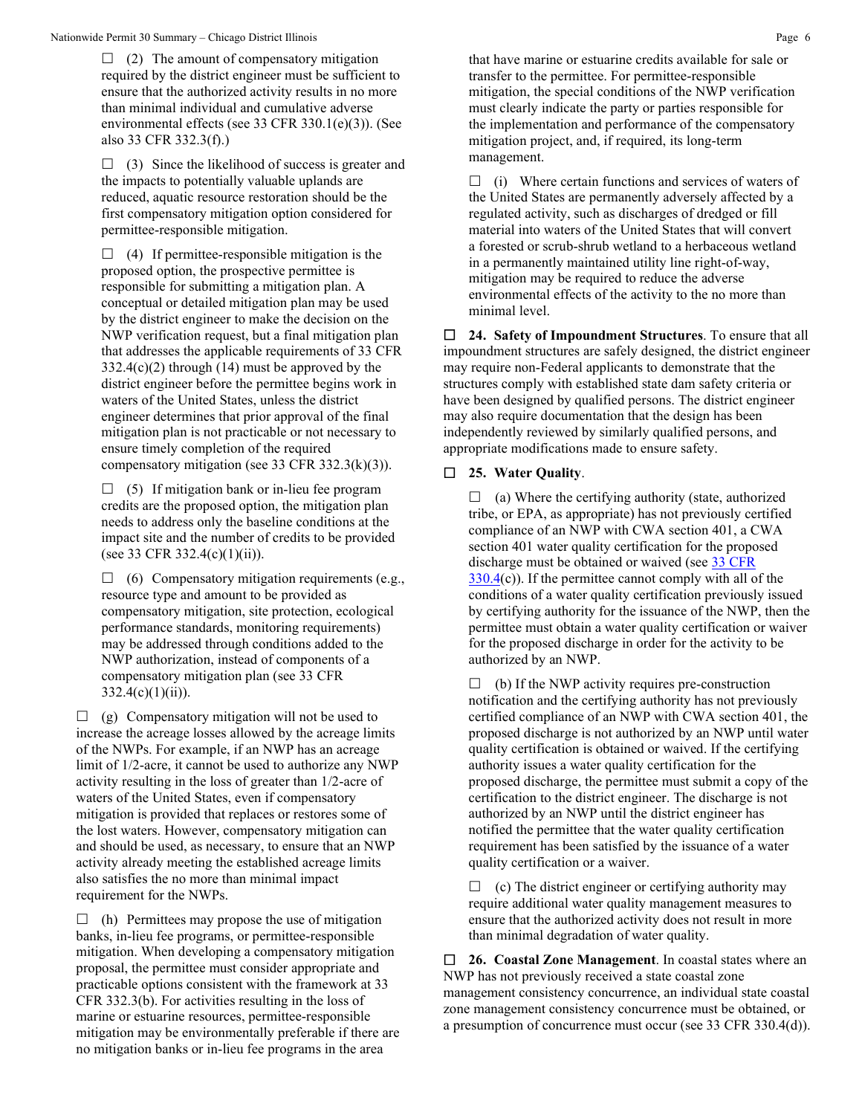$\Box$  (2) The amount of compensatory mitigation required by the district engineer must be sufficient to ensure that the authorized activity results in no more than minimal individual and cumulative adverse environmental effects (see 33 CFR 330.1(e)(3)). (See also 33 CFR 332.3(f).)

 $\Box$  (3) Since the likelihood of success is greater and the impacts to potentially valuable uplands are reduced, aquatic resource restoration should be the first compensatory mitigation option considered for permittee-responsible mitigation.

 $\Box$  (4) If permittee-responsible mitigation is the proposed option, the prospective permittee is responsible for submitting a mitigation plan. A conceptual or detailed mitigation plan may be used by the district engineer to make the decision on the NWP verification request, but a final mitigation plan that addresses the applicable requirements of 33 CFR  $332.4(c)(2)$  through (14) must be approved by the district engineer before the permittee begins work in waters of the United States, unless the district engineer determines that prior approval of the final mitigation plan is not practicable or not necessary to ensure timely completion of the required compensatory mitigation (see 33 CFR 332.3(k)(3)).

 $\Box$  (5) If mitigation bank or in-lieu fee program credits are the proposed option, the mitigation plan needs to address only the baseline conditions at the impact site and the number of credits to be provided (see 33 CFR 332.4(c)(1)(ii)).

 $\Box$  (6) Compensatory mitigation requirements (e.g., resource type and amount to be provided as compensatory mitigation, site protection, ecological performance standards, monitoring requirements) may be addressed through conditions added to the NWP authorization, instead of components of a compensatory mitigation plan (see 33 CFR  $332.4(c)(1)(ii)$ ).

 $\Box$  (g) Compensatory mitigation will not be used to increase the acreage losses allowed by the acreage limits of the NWPs. For example, if an NWP has an acreage limit of 1/2-acre, it cannot be used to authorize any NWP activity resulting in the loss of greater than 1/2-acre of waters of the United States, even if compensatory mitigation is provided that replaces or restores some of the lost waters. However, compensatory mitigation can and should be used, as necessary, to ensure that an NWP activity already meeting the established acreage limits also satisfies the no more than minimal impact requirement for the NWPs.

 $\Box$  (h) Permittees may propose the use of mitigation banks, in-lieu fee programs, or permittee-responsible mitigation. When developing a compensatory mitigation proposal, the permittee must consider appropriate and practicable options consistent with the framework at 33 CFR 332.3(b). For activities resulting in the loss of marine or estuarine resources, permittee-responsible mitigation may be environmentally preferable if there are no mitigation banks or in-lieu fee programs in the area

that have marine or estuarine credits available for sale or transfer to the permittee. For permittee-responsible mitigation, the special conditions of the NWP verification must clearly indicate the party or parties responsible for the implementation and performance of the compensatory mitigation project, and, if required, its long-term management.

 $\Box$  (i) Where certain functions and services of waters of the United States are permanently adversely affected by a regulated activity, such as discharges of dredged or fill material into waters of the United States that will convert a forested or scrub-shrub wetland to a herbaceous wetland in a permanently maintained utility line right-of-way, mitigation may be required to reduce the adverse environmental effects of the activity to the no more than minimal level.

 **24. Safety of Impoundment Structures**. To ensure that all impoundment structures are safely designed, the district engineer may require non-Federal applicants to demonstrate that the structures comply with established state dam safety criteria or have been designed by qualified persons. The district engineer may also require documentation that the design has been independently reviewed by similarly qualified persons, and appropriate modifications made to ensure safety.

## **25. Water Quality**.

 $\Box$  (a) Where the certifying authority (state, authorized tribe, or EPA, as appropriate) has not previously certified compliance of an NWP with CWA section 401, a CWA section 401 water quality certification for the proposed discharge must be obtained or waived (see 33 CFR  $330.4(c)$  $330.4(c)$ ). If the permittee cannot comply with all of the conditions of a water quality certification previously issued by certifying authority for the issuance of the NWP, then the permittee must obtain a water quality certification or waiver for the proposed discharge in order for the activity to be authorized by an NWP.

 $\Box$  (b) If the NWP activity requires pre-construction notification and the certifying authority has not previously certified compliance of an NWP with CWA section 401, the proposed discharge is not authorized by an NWP until water quality certification is obtained or waived. If the certifying authority issues a water quality certification for the proposed discharge, the permittee must submit a copy of the certification to the district engineer. The discharge is not authorized by an NWP until the district engineer has notified the permittee that the water quality certification requirement has been satisfied by the issuance of a water quality certification or a waiver.

 $\Box$  (c) The district engineer or certifying authority may require additional water quality management measures to ensure that the authorized activity does not result in more than minimal degradation of water quality.

 **26. Coastal Zone Management**. In coastal states where an NWP has not previously received a state coastal zone management consistency concurrence, an individual state coastal zone management consistency concurrence must be obtained, or a presumption of concurrence must occur (see 33 CFR 330.4(d)).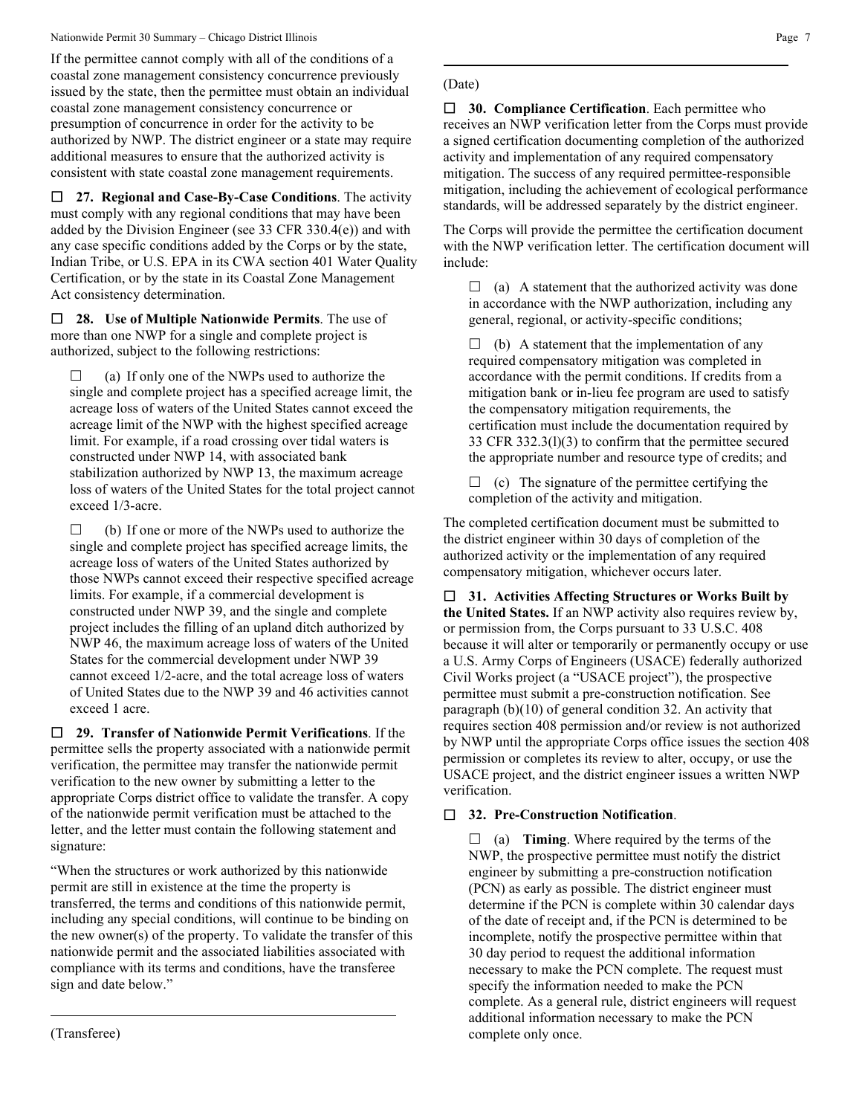#### Nationwide Permit 30 Summary – Chicago District Illinois **Page 7** Page 7

If the permittee cannot comply with all of the conditions of a coastal zone management consistency concurrence previously issued by the state, then the permittee must obtain an individual coastal zone management consistency concurrence or presumption of concurrence in order for the activity to be authorized by NWP. The district engineer or a state may require additional measures to ensure that the authorized activity is consistent with state coastal zone management requirements.

 **27. Regional and Case-By-Case Conditions**. The activity must comply with any regional conditions that may have been added by the Division Engineer (see 33 CFR 330.4(e)) and with any case specific conditions added by the Corps or by the state, Indian Tribe, or U.S. EPA in its CWA section 401 Water Quality Certification, or by the state in its Coastal Zone Management Act consistency determination.

 **28. Use of Multiple Nationwide Permits**. The use of more than one NWP for a single and complete project is authorized, subject to the following restrictions:

 (a) If only one of the NWPs used to authorize the single and complete project has a specified acreage limit, the acreage loss of waters of the United States cannot exceed the acreage limit of the NWP with the highest specified acreage limit. For example, if a road crossing over tidal waters is constructed under NWP 14, with associated bank stabilization authorized by NWP 13, the maximum acreage loss of waters of the United States for the total project cannot exceed 1/3-acre.

 $\Box$  (b) If one or more of the NWPs used to authorize the single and complete project has specified acreage limits, the acreage loss of waters of the United States authorized by those NWPs cannot exceed their respective specified acreage limits. For example, if a commercial development is constructed under NWP 39, and the single and complete project includes the filling of an upland ditch authorized by NWP 46, the maximum acreage loss of waters of the United States for the commercial development under NWP 39 cannot exceed 1/2-acre, and the total acreage loss of waters of United States due to the NWP 39 and 46 activities cannot exceed 1 acre.

 **29. Transfer of Nationwide Permit Verifications**. If the permittee sells the property associated with a nationwide permit verification, the permittee may transfer the nationwide permit verification to the new owner by submitting a letter to the appropriate Corps district office to validate the transfer. A copy of the nationwide permit verification must be attached to the letter, and the letter must contain the following statement and signature:

"When the structures or work authorized by this nationwide permit are still in existence at the time the property is transferred, the terms and conditions of this nationwide permit, including any special conditions, will continue to be binding on the new owner(s) of the property. To validate the transfer of this nationwide permit and the associated liabilities associated with compliance with its terms and conditions, have the transferee sign and date below."

# (Date)

 **30. Compliance Certification**. Each permittee who receives an NWP verification letter from the Corps must provide a signed certification documenting completion of the authorized activity and implementation of any required compensatory mitigation. The success of any required permittee-responsible mitigation, including the achievement of ecological performance standards, will be addressed separately by the district engineer.

The Corps will provide the permittee the certification document with the NWP verification letter. The certification document will include:

 $\Box$  (a) A statement that the authorized activity was done in accordance with the NWP authorization, including any general, regional, or activity-specific conditions;

 $\Box$  (b) A statement that the implementation of any required compensatory mitigation was completed in accordance with the permit conditions. If credits from a mitigation bank or in-lieu fee program are used to satisfy the compensatory mitigation requirements, the certification must include the documentation required by 33 CFR 332.3(l)(3) to confirm that the permittee secured the appropriate number and resource type of credits; and

 $\Box$  (c) The signature of the permittee certifying the completion of the activity and mitigation.

The completed certification document must be submitted to the district engineer within 30 days of completion of the authorized activity or the implementation of any required compensatory mitigation, whichever occurs later.

 **31. Activities Affecting Structures or Works Built by the United States.** If an NWP activity also requires review by, or permission from, the Corps pursuant to 33 U.S.C. 408 because it will alter or temporarily or permanently occupy or use a U.S. Army Corps of Engineers (USACE) federally authorized Civil Works project (a "USACE project"), the prospective permittee must submit a pre-construction notification. See paragraph (b)(10) of general condition 32. An activity that requires section 408 permission and/or review is not authorized by NWP until the appropriate Corps office issues the section 408 permission or completes its review to alter, occupy, or use the USACE project, and the district engineer issues a written NWP verification.

# **32. Pre-Construction Notification**.

 $\Box$  (a) **Timing**. Where required by the terms of the NWP, the prospective permittee must notify the district engineer by submitting a pre-construction notification (PCN) as early as possible. The district engineer must determine if the PCN is complete within 30 calendar days of the date of receipt and, if the PCN is determined to be incomplete, notify the prospective permittee within that 30 day period to request the additional information necessary to make the PCN complete. The request must specify the information needed to make the PCN complete. As a general rule, district engineers will request additional information necessary to make the PCN complete only once.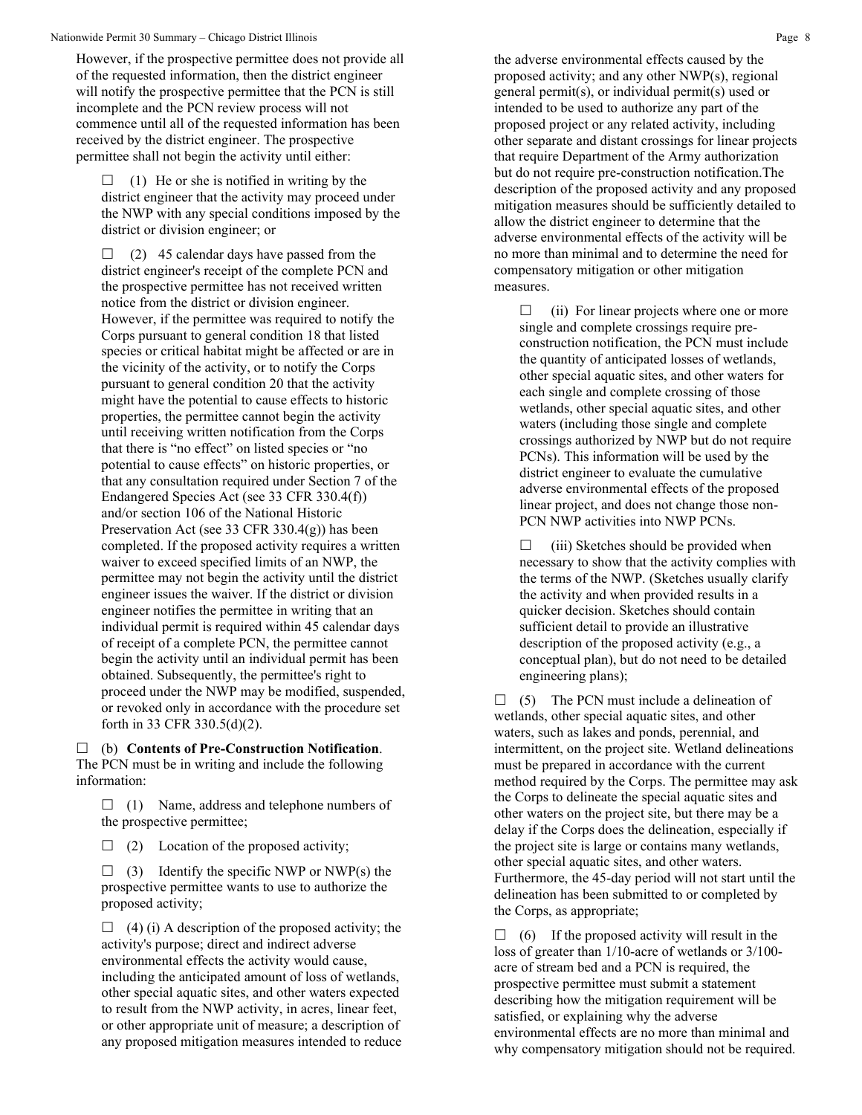However, if the prospective permittee does not provide all of the requested information, then the district engineer will notify the prospective permittee that the PCN is still incomplete and the PCN review process will not commence until all of the requested information has been received by the district engineer. The prospective permittee shall not begin the activity until either:

 $\Box$  (1) He or she is notified in writing by the district engineer that the activity may proceed under the NWP with any special conditions imposed by the district or division engineer; or

 $\Box$  (2) 45 calendar days have passed from the district engineer's receipt of the complete PCN and the prospective permittee has not received written notice from the district or division engineer. However, if the permittee was required to notify the Corps pursuant to general condition 18 that listed species or critical habitat might be affected or are in the vicinity of the activity, or to notify the Corps pursuant to general condition 20 that the activity might have the potential to cause effects to historic properties, the permittee cannot begin the activity until receiving written notification from the Corps that there is "no effect" on listed species or "no potential to cause effects" on historic properties, or that any consultation required under Section 7 of the Endangered Species Act (see 33 CFR 330.4(f)) and/or section 106 of the National Historic Preservation Act (see 33 CFR 330.4(g)) has been completed. If the proposed activity requires a written waiver to exceed specified limits of an NWP, the permittee may not begin the activity until the district engineer issues the waiver. If the district or division engineer notifies the permittee in writing that an individual permit is required within 45 calendar days of receipt of a complete PCN, the permittee cannot begin the activity until an individual permit has been obtained. Subsequently, the permittee's right to proceed under the NWP may be modified, suspended, or revoked only in accordance with the procedure set forth in 33 CFR 330.5(d)(2).

 (b) **Contents of Pre-Construction Notification**. The PCN must be in writing and include the following information:

 $\Box$  (1) Name, address and telephone numbers of the prospective permittee;

 $\Box$  (2) Location of the proposed activity;

 $\Box$  (3) Identify the specific NWP or NWP(s) the prospective permittee wants to use to authorize the proposed activity;

 $\Box$  (4) (i) A description of the proposed activity; the activity's purpose; direct and indirect adverse environmental effects the activity would cause, including the anticipated amount of loss of wetlands, other special aquatic sites, and other waters expected to result from the NWP activity, in acres, linear feet, or other appropriate unit of measure; a description of any proposed mitigation measures intended to reduce

the adverse environmental effects caused by the proposed activity; and any other NWP(s), regional general permit(s), or individual permit(s) used or intended to be used to authorize any part of the proposed project or any related activity, including other separate and distant crossings for linear projects that require Department of the Army authorization but do not require pre-construction notification.The description of the proposed activity and any proposed mitigation measures should be sufficiently detailed to allow the district engineer to determine that the adverse environmental effects of the activity will be no more than minimal and to determine the need for compensatory mitigation or other mitigation measures.

 $\Box$  (ii) For linear projects where one or more single and complete crossings require preconstruction notification, the PCN must include the quantity of anticipated losses of wetlands, other special aquatic sites, and other waters for each single and complete crossing of those wetlands, other special aquatic sites, and other waters (including those single and complete crossings authorized by NWP but do not require PCNs). This information will be used by the district engineer to evaluate the cumulative adverse environmental effects of the proposed linear project, and does not change those non-PCN NWP activities into NWP PCNs.

 $\Box$  (iii) Sketches should be provided when necessary to show that the activity complies with the terms of the NWP. (Sketches usually clarify the activity and when provided results in a quicker decision. Sketches should contain sufficient detail to provide an illustrative description of the proposed activity (e.g., a conceptual plan), but do not need to be detailed engineering plans);

 $\Box$  (5) The PCN must include a delineation of wetlands, other special aquatic sites, and other waters, such as lakes and ponds, perennial, and intermittent, on the project site. Wetland delineations must be prepared in accordance with the current method required by the Corps. The permittee may ask the Corps to delineate the special aquatic sites and other waters on the project site, but there may be a delay if the Corps does the delineation, especially if the project site is large or contains many wetlands, other special aquatic sites, and other waters. Furthermore, the 45-day period will not start until the delineation has been submitted to or completed by the Corps, as appropriate;

 $\Box$  (6) If the proposed activity will result in the loss of greater than 1/10-acre of wetlands or 3/100 acre of stream bed and a PCN is required, the prospective permittee must submit a statement describing how the mitigation requirement will be satisfied, or explaining why the adverse environmental effects are no more than minimal and why compensatory mitigation should not be required.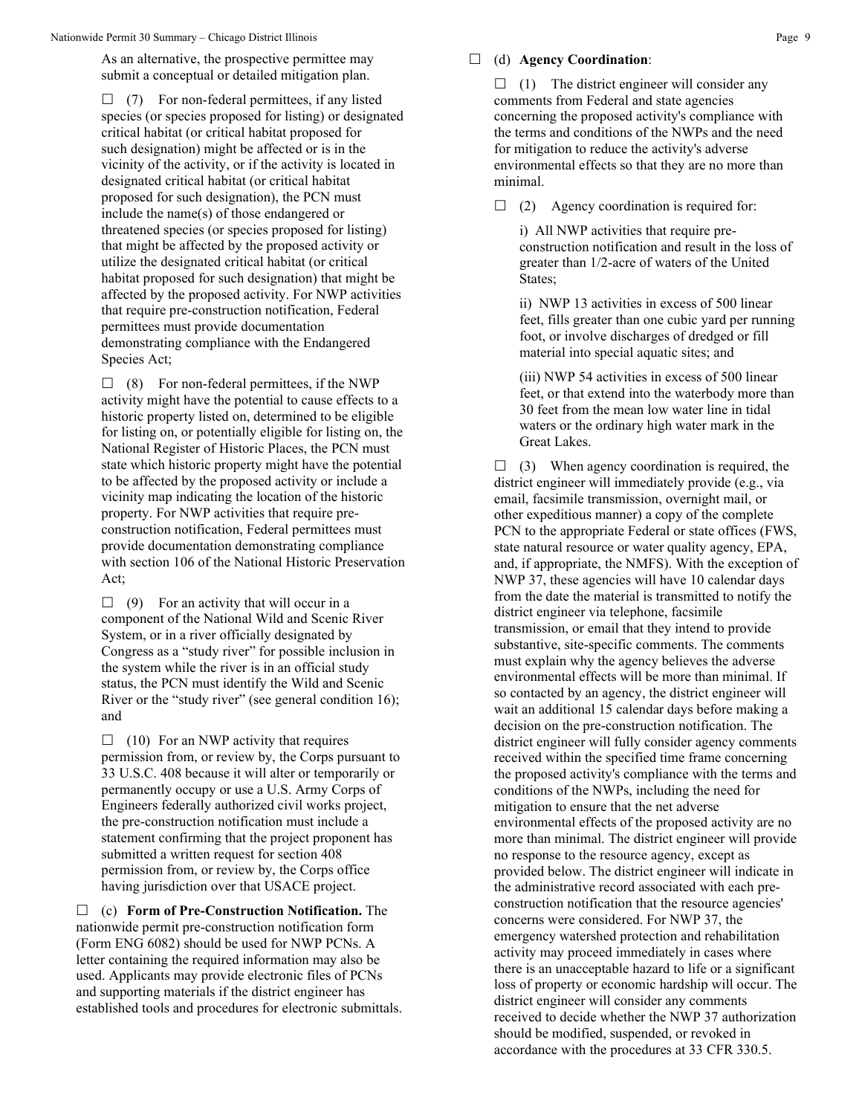As an alternative, the prospective permittee may submit a conceptual or detailed mitigation plan.

 $\Box$  (7) For non-federal permittees, if any listed species (or species proposed for listing) or designated critical habitat (or critical habitat proposed for such designation) might be affected or is in the vicinity of the activity, or if the activity is located in designated critical habitat (or critical habitat proposed for such designation), the PCN must include the name(s) of those endangered or threatened species (or species proposed for listing) that might be affected by the proposed activity or utilize the designated critical habitat (or critical habitat proposed for such designation) that might be affected by the proposed activity. For NWP activities that require pre-construction notification, Federal permittees must provide documentation demonstrating compliance with the Endangered Species Act;

 $\Box$  (8) For non-federal permittees, if the NWP activity might have the potential to cause effects to a historic property listed on, determined to be eligible for listing on, or potentially eligible for listing on, the National Register of Historic Places, the PCN must state which historic property might have the potential to be affected by the proposed activity or include a vicinity map indicating the location of the historic property. For NWP activities that require preconstruction notification, Federal permittees must provide documentation demonstrating compliance with section 106 of the National Historic Preservation Act;

 $\Box$  (9) For an activity that will occur in a component of the National Wild and Scenic River System, or in a river officially designated by Congress as a "study river" for possible inclusion in the system while the river is in an official study status, the PCN must identify the Wild and Scenic River or the "study river" (see general condition 16); and

 $\Box$  (10) For an NWP activity that requires permission from, or review by, the Corps pursuant to 33 U.S.C. 408 because it will alter or temporarily or permanently occupy or use a U.S. Army Corps of Engineers federally authorized civil works project, the pre-construction notification must include a statement confirming that the project proponent has submitted a written request for section 408 permission from, or review by, the Corps office having jurisdiction over that USACE project.

 (c) **Form of Pre-Construction Notification.** The nationwide permit pre-construction notification form (Form ENG 6082) should be used for NWP PCNs. A letter containing the required information may also be used. Applicants may provide electronic files of PCNs and supporting materials if the district engineer has established tools and procedures for electronic submittals.

#### (d) **Agency Coordination**:

 $\Box$  (1) The district engineer will consider any comments from Federal and state agencies concerning the proposed activity's compliance with the terms and conditions of the NWPs and the need for mitigation to reduce the activity's adverse environmental effects so that they are no more than minimal.

 $\Box$  (2) Agency coordination is required for:

i) All NWP activities that require preconstruction notification and result in the loss of greater than 1/2-acre of waters of the United States;

ii) NWP 13 activities in excess of 500 linear feet, fills greater than one cubic yard per running foot, or involve discharges of dredged or fill material into special aquatic sites; and

(iii) NWP 54 activities in excess of 500 linear feet, or that extend into the waterbody more than 30 feet from the mean low water line in tidal waters or the ordinary high water mark in the Great Lakes.

 $\Box$  (3) When agency coordination is required, the district engineer will immediately provide (e.g., via email, facsimile transmission, overnight mail, or other expeditious manner) a copy of the complete PCN to the appropriate Federal or state offices (FWS, state natural resource or water quality agency, EPA, and, if appropriate, the NMFS). With the exception of NWP 37, these agencies will have 10 calendar days from the date the material is transmitted to notify the district engineer via telephone, facsimile transmission, or email that they intend to provide substantive, site-specific comments. The comments must explain why the agency believes the adverse environmental effects will be more than minimal. If so contacted by an agency, the district engineer will wait an additional 15 calendar days before making a decision on the pre-construction notification. The district engineer will fully consider agency comments received within the specified time frame concerning the proposed activity's compliance with the terms and conditions of the NWPs, including the need for mitigation to ensure that the net adverse environmental effects of the proposed activity are no more than minimal. The district engineer will provide no response to the resource agency, except as provided below. The district engineer will indicate in the administrative record associated with each preconstruction notification that the resource agencies' concerns were considered. For NWP 37, the emergency watershed protection and rehabilitation activity may proceed immediately in cases where there is an unacceptable hazard to life or a significant loss of property or economic hardship will occur. The district engineer will consider any comments received to decide whether the NWP 37 authorization should be modified, suspended, or revoked in accordance with the procedures at 33 CFR 330.5.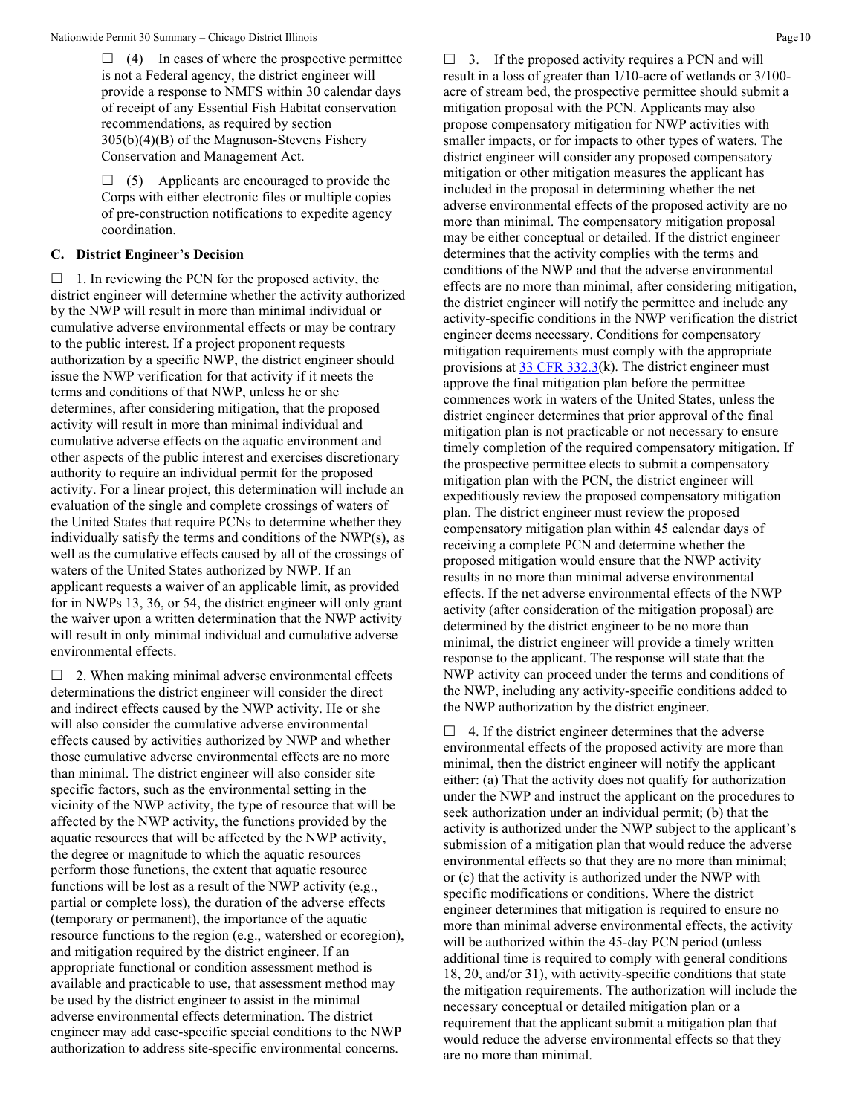$\Box$  (4) In cases of where the prospective permittee is not a Federal agency, the district engineer will provide a response to NMFS within 30 calendar days of receipt of any Essential Fish Habitat conservation recommendations, as required by section 305(b)(4)(B) of the Magnuson-Stevens Fishery Conservation and Management Act.

 $\Box$  (5) Applicants are encouraged to provide the Corps with either electronic files or multiple copies of pre-construction notifications to expedite agency coordination.

#### **C. District Engineer's Decision**

 $\Box$  1. In reviewing the PCN for the proposed activity, the district engineer will determine whether the activity authorized by the NWP will result in more than minimal individual or cumulative adverse environmental effects or may be contrary to the public interest. If a project proponent requests authorization by a specific NWP, the district engineer should issue the NWP verification for that activity if it meets the terms and conditions of that NWP, unless he or she determines, after considering mitigation, that the proposed activity will result in more than minimal individual and cumulative adverse effects on the aquatic environment and other aspects of the public interest and exercises discretionary authority to require an individual permit for the proposed activity. For a linear project, this determination will include an evaluation of the single and complete crossings of waters of the United States that require PCNs to determine whether they individually satisfy the terms and conditions of the NWP(s), as well as the cumulative effects caused by all of the crossings of waters of the United States authorized by NWP. If an applicant requests a waiver of an applicable limit, as provided for in NWPs 13, 36, or 54, the district engineer will only grant the waiver upon a written determination that the NWP activity will result in only minimal individual and cumulative adverse environmental effects.

 $\Box$  2. When making minimal adverse environmental effects determinations the district engineer will consider the direct and indirect effects caused by the NWP activity. He or she will also consider the cumulative adverse environmental effects caused by activities authorized by NWP and whether those cumulative adverse environmental effects are no more than minimal. The district engineer will also consider site specific factors, such as the environmental setting in the vicinity of the NWP activity, the type of resource that will be affected by the NWP activity, the functions provided by the aquatic resources that will be affected by the NWP activity, the degree or magnitude to which the aquatic resources perform those functions, the extent that aquatic resource functions will be lost as a result of the NWP activity (e.g., partial or complete loss), the duration of the adverse effects (temporary or permanent), the importance of the aquatic resource functions to the region (e.g., watershed or ecoregion), and mitigation required by the district engineer. If an appropriate functional or condition assessment method is available and practicable to use, that assessment method may be used by the district engineer to assist in the minimal adverse environmental effects determination. The district engineer may add case-specific special conditions to the NWP authorization to address site-specific environmental concerns.

 $\Box$  3. If the proposed activity requires a PCN and will result in a loss of greater than 1/10-acre of wetlands or 3/100 acre of stream bed, the prospective permittee should submit a mitigation proposal with the PCN. Applicants may also propose compensatory mitigation for NWP activities with smaller impacts, or for impacts to other types of waters. The district engineer will consider any proposed compensatory mitigation or other mitigation measures the applicant has included in the proposal in determining whether the net adverse environmental effects of the proposed activity are no more than minimal. The compensatory mitigation proposal may be either conceptual or detailed. If the district engineer determines that the activity complies with the terms and conditions of the NWP and that the adverse environmental effects are no more than minimal, after considering mitigation, the district engineer will notify the permittee and include any activity-specific conditions in the NWP verification the district engineer deems necessary. Conditions for compensatory mitigation requirements must comply with the appropriate provisions at [33 CFR 332.3\(](https://www.federalregister.gov/select-citation/2021/01/13/33-CFR-332.3)k). The district engineer must approve the final mitigation plan before the permittee commences work in waters of the United States, unless the district engineer determines that prior approval of the final mitigation plan is not practicable or not necessary to ensure timely completion of the required compensatory mitigation. If the prospective permittee elects to submit a compensatory mitigation plan with the PCN, the district engineer will expeditiously review the proposed compensatory mitigation plan. The district engineer must review the proposed compensatory mitigation plan within 45 calendar days of receiving a complete PCN and determine whether the proposed mitigation would ensure that the NWP activity results in no more than minimal adverse environmental effects. If the net adverse environmental effects of the NWP activity (after consideration of the mitigation proposal) are determined by the district engineer to be no more than minimal, the district engineer will provide a timely written response to the applicant. The response will state that the NWP activity can proceed under the terms and conditions of the NWP, including any activity-specific conditions added to the NWP authorization by the district engineer.

 $\Box$  4. If the district engineer determines that the adverse environmental effects of the proposed activity are more than minimal, then the district engineer will notify the applicant either: (a) That the activity does not qualify for authorization under the NWP and instruct the applicant on the procedures to seek authorization under an individual permit; (b) that the activity is authorized under the NWP subject to the applicant's submission of a mitigation plan that would reduce the adverse environmental effects so that they are no more than minimal; or (c) that the activity is authorized under the NWP with specific modifications or conditions. Where the district engineer determines that mitigation is required to ensure no more than minimal adverse environmental effects, the activity will be authorized within the 45-day PCN period (unless additional time is required to comply with general conditions 18, 20, and/or 31), with activity-specific conditions that state the mitigation requirements. The authorization will include the necessary conceptual or detailed mitigation plan or a requirement that the applicant submit a mitigation plan that would reduce the adverse environmental effects so that they are no more than minimal.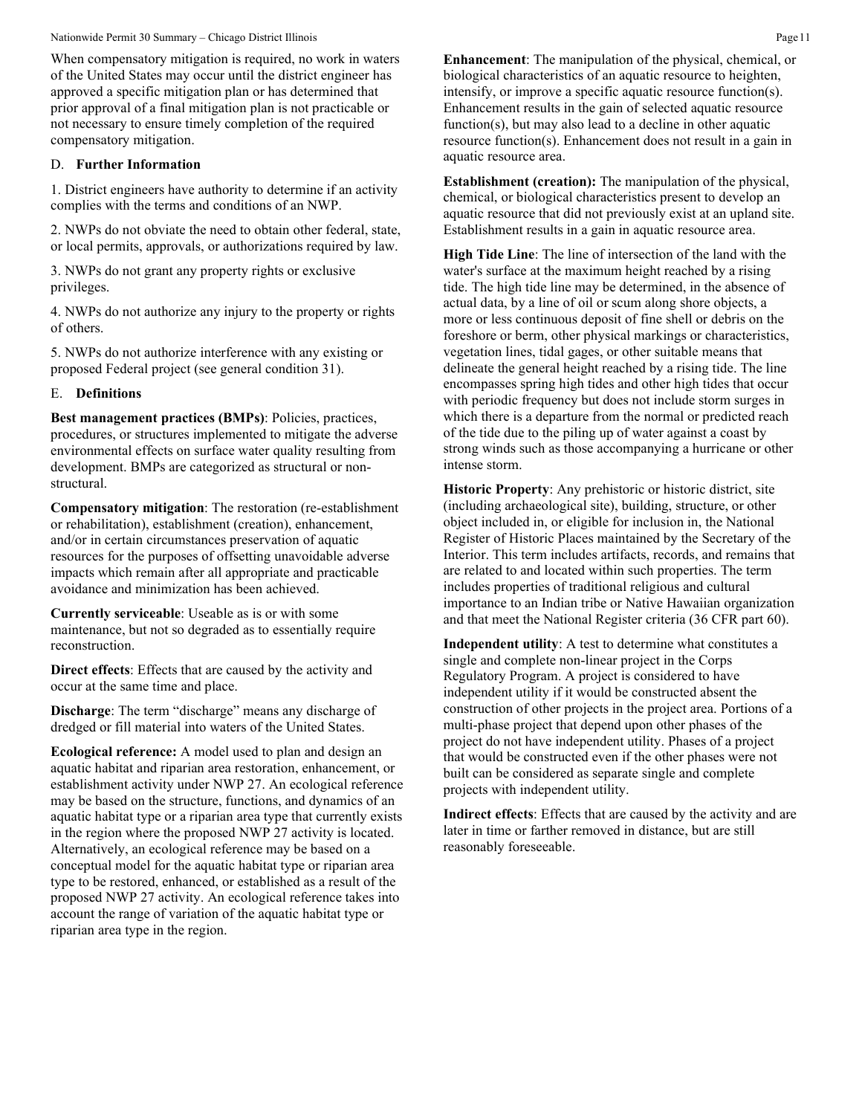Nationwide Permit 30 Summary – Chicago District Illinois Page 11

When compensatory mitigation is required, no work in waters of the United States may occur until the district engineer has approved a specific mitigation plan or has determined that prior approval of a final mitigation plan is not practicable or not necessary to ensure timely completion of the required compensatory mitigation.

## D. **Further Information**

1. District engineers have authority to determine if an activity complies with the terms and conditions of an NWP.

2. NWPs do not obviate the need to obtain other federal, state, or local permits, approvals, or authorizations required by law.

3. NWPs do not grant any property rights or exclusive privileges.

4. NWPs do not authorize any injury to the property or rights of others.

5. NWPs do not authorize interference with any existing or proposed Federal project (see general condition 31).

# E. **Definitions**

**Best management practices (BMPs)**: Policies, practices, procedures, or structures implemented to mitigate the adverse environmental effects on surface water quality resulting from development. BMPs are categorized as structural or nonstructural.

**Compensatory mitigation**: The restoration (re-establishment or rehabilitation), establishment (creation), enhancement, and/or in certain circumstances preservation of aquatic resources for the purposes of offsetting unavoidable adverse impacts which remain after all appropriate and practicable avoidance and minimization has been achieved.

**Currently serviceable**: Useable as is or with some maintenance, but not so degraded as to essentially require reconstruction.

**Direct effects**: Effects that are caused by the activity and occur at the same time and place.

**Discharge**: The term "discharge" means any discharge of dredged or fill material into waters of the United States.

**Ecological reference:** A model used to plan and design an aquatic habitat and riparian area restoration, enhancement, or establishment activity under NWP 27. An ecological reference may be based on the structure, functions, and dynamics of an aquatic habitat type or a riparian area type that currently exists in the region where the proposed NWP 27 activity is located. Alternatively, an ecological reference may be based on a conceptual model for the aquatic habitat type or riparian area type to be restored, enhanced, or established as a result of the proposed NWP 27 activity. An ecological reference takes into account the range of variation of the aquatic habitat type or riparian area type in the region.

**Enhancement**: The manipulation of the physical, chemical, or biological characteristics of an aquatic resource to heighten, intensify, or improve a specific aquatic resource function(s). Enhancement results in the gain of selected aquatic resource function(s), but may also lead to a decline in other aquatic resource function(s). Enhancement does not result in a gain in aquatic resource area.

**Establishment (creation):** The manipulation of the physical, chemical, or biological characteristics present to develop an aquatic resource that did not previously exist at an upland site. Establishment results in a gain in aquatic resource area.

**High Tide Line**: The line of intersection of the land with the water's surface at the maximum height reached by a rising tide. The high tide line may be determined, in the absence of actual data, by a line of oil or scum along shore objects, a more or less continuous deposit of fine shell or debris on the foreshore or berm, other physical markings or characteristics, vegetation lines, tidal gages, or other suitable means that delineate the general height reached by a rising tide. The line encompasses spring high tides and other high tides that occur with periodic frequency but does not include storm surges in which there is a departure from the normal or predicted reach of the tide due to the piling up of water against a coast by strong winds such as those accompanying a hurricane or other intense storm.

**Historic Property**: Any prehistoric or historic district, site (including archaeological site), building, structure, or other object included in, or eligible for inclusion in, the National Register of Historic Places maintained by the Secretary of the Interior. This term includes artifacts, records, and remains that are related to and located within such properties. The term includes properties of traditional religious and cultural importance to an Indian tribe or Native Hawaiian organization and that meet the National Register criteria (36 CFR part 60).

**Independent utility**: A test to determine what constitutes a single and complete non-linear project in the Corps Regulatory Program. A project is considered to have independent utility if it would be constructed absent the construction of other projects in the project area. Portions of a multi-phase project that depend upon other phases of the project do not have independent utility. Phases of a project that would be constructed even if the other phases were not built can be considered as separate single and complete projects with independent utility.

**Indirect effects**: Effects that are caused by the activity and are later in time or farther removed in distance, but are still reasonably foreseeable.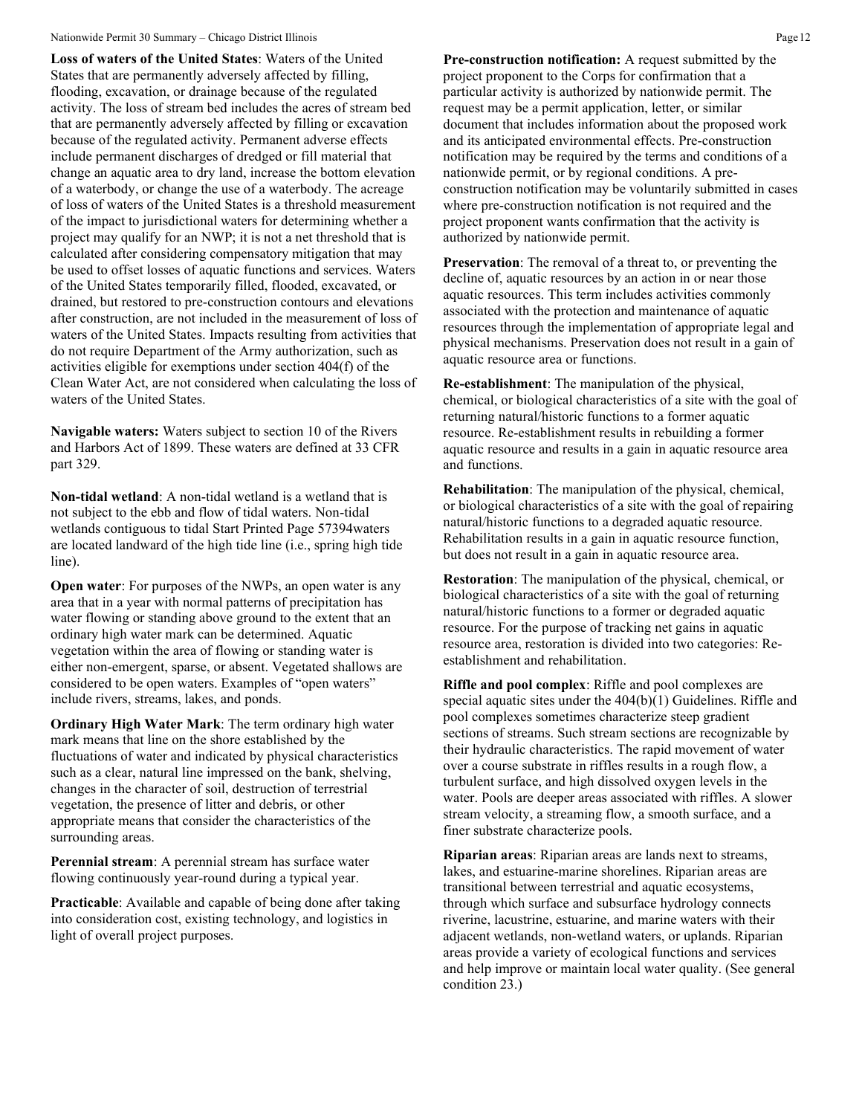#### Nationwide Permit 30 Summary – Chicago District Illinois Page 12

**Loss of waters of the United States**: Waters of the United States that are permanently adversely affected by filling, flooding, excavation, or drainage because of the regulated activity. The loss of stream bed includes the acres of stream bed that are permanently adversely affected by filling or excavation because of the regulated activity. Permanent adverse effects include permanent discharges of dredged or fill material that change an aquatic area to dry land, increase the bottom elevation of a waterbody, or change the use of a waterbody. The acreage of loss of waters of the United States is a threshold measurement of the impact to jurisdictional waters for determining whether a project may qualify for an NWP; it is not a net threshold that is calculated after considering compensatory mitigation that may be used to offset losses of aquatic functions and services. Waters of the United States temporarily filled, flooded, excavated, or drained, but restored to pre-construction contours and elevations after construction, are not included in the measurement of loss of waters of the United States. Impacts resulting from activities that do not require Department of the Army authorization, such as activities eligible for exemptions under section 404(f) of the Clean Water Act, are not considered when calculating the loss of waters of the United States.

**Navigable waters:** Waters subject to section 10 of the Rivers and Harbors Act of 1899. These waters are defined at 33 CFR part 329.

**Non-tidal wetland**: A non-tidal wetland is a wetland that is not subject to the ebb and flow of tidal waters. Non-tidal wetlands contiguous to tidal Start Printed Page 57394waters are located landward of the high tide line (i.e., spring high tide line).

**Open water:** For purposes of the NWPs, an open water is any area that in a year with normal patterns of precipitation has water flowing or standing above ground to the extent that an ordinary high water mark can be determined. Aquatic vegetation within the area of flowing or standing water is either non-emergent, sparse, or absent. Vegetated shallows are considered to be open waters. Examples of "open waters" include rivers, streams, lakes, and ponds.

**Ordinary High Water Mark**: The term ordinary high water mark means that line on the shore established by the fluctuations of water and indicated by physical characteristics such as a clear, natural line impressed on the bank, shelving, changes in the character of soil, destruction of terrestrial vegetation, the presence of litter and debris, or other appropriate means that consider the characteristics of the surrounding areas.

**Perennial stream**: A perennial stream has surface water flowing continuously year-round during a typical year.

**Practicable:** Available and capable of being done after taking into consideration cost, existing technology, and logistics in light of overall project purposes.

**Pre-construction notification:** A request submitted by the project proponent to the Corps for confirmation that a particular activity is authorized by nationwide permit. The request may be a permit application, letter, or similar document that includes information about the proposed work and its anticipated environmental effects. Pre-construction notification may be required by the terms and conditions of a nationwide permit, or by regional conditions. A preconstruction notification may be voluntarily submitted in cases where pre-construction notification is not required and the project proponent wants confirmation that the activity is authorized by nationwide permit.

**Preservation**: The removal of a threat to, or preventing the decline of, aquatic resources by an action in or near those aquatic resources. This term includes activities commonly associated with the protection and maintenance of aquatic resources through the implementation of appropriate legal and physical mechanisms. Preservation does not result in a gain of aquatic resource area or functions.

**Re-establishment**: The manipulation of the physical, chemical, or biological characteristics of a site with the goal of returning natural/historic functions to a former aquatic resource. Re-establishment results in rebuilding a former aquatic resource and results in a gain in aquatic resource area and functions.

**Rehabilitation**: The manipulation of the physical, chemical, or biological characteristics of a site with the goal of repairing natural/historic functions to a degraded aquatic resource. Rehabilitation results in a gain in aquatic resource function, but does not result in a gain in aquatic resource area.

**Restoration**: The manipulation of the physical, chemical, or biological characteristics of a site with the goal of returning natural/historic functions to a former or degraded aquatic resource. For the purpose of tracking net gains in aquatic resource area, restoration is divided into two categories: Reestablishment and rehabilitation.

**Riffle and pool complex**: Riffle and pool complexes are special aquatic sites under the 404(b)(1) Guidelines. Riffle and pool complexes sometimes characterize steep gradient sections of streams. Such stream sections are recognizable by their hydraulic characteristics. The rapid movement of water over a course substrate in riffles results in a rough flow, a turbulent surface, and high dissolved oxygen levels in the water. Pools are deeper areas associated with riffles. A slower stream velocity, a streaming flow, a smooth surface, and a finer substrate characterize pools.

**Riparian areas**: Riparian areas are lands next to streams, lakes, and estuarine-marine shorelines. Riparian areas are transitional between terrestrial and aquatic ecosystems, through which surface and subsurface hydrology connects riverine, lacustrine, estuarine, and marine waters with their adjacent wetlands, non-wetland waters, or uplands. Riparian areas provide a variety of ecological functions and services and help improve or maintain local water quality. (See general condition 23.)